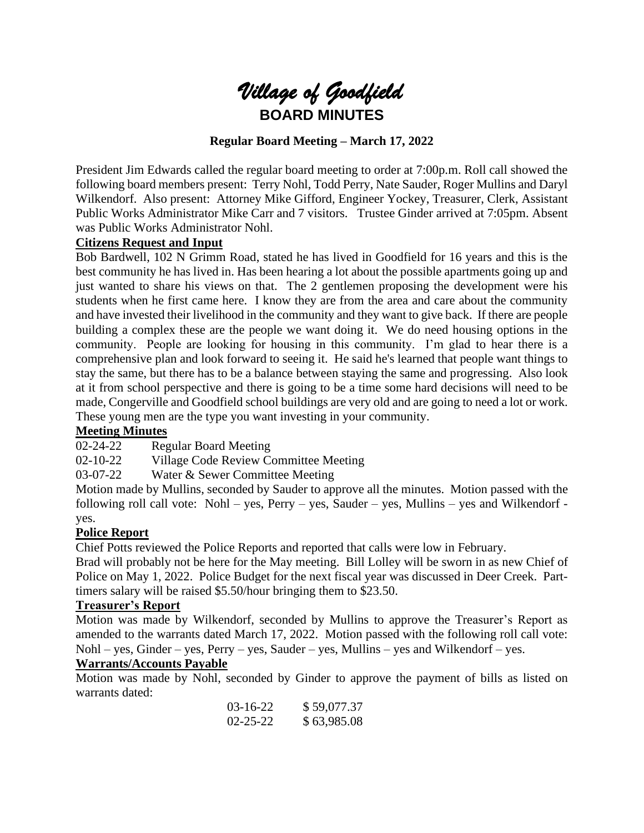

# **Regular Board Meeting – March 17, 2022**

President Jim Edwards called the regular board meeting to order at 7:00p.m. Roll call showed the following board members present: Terry Nohl, Todd Perry, Nate Sauder, Roger Mullins and Daryl Wilkendorf. Also present: Attorney Mike Gifford, Engineer Yockey, Treasurer, Clerk, Assistant Public Works Administrator Mike Carr and 7 visitors. Trustee Ginder arrived at 7:05pm. Absent was Public Works Administrator Nohl.

#### **Citizens Request and Input**

Bob Bardwell, 102 N Grimm Road, stated he has lived in Goodfield for 16 years and this is the best community he has lived in. Has been hearing a lot about the possible apartments going up and just wanted to share his views on that. The 2 gentlemen proposing the development were his students when he first came here. I know they are from the area and care about the community and have invested their livelihood in the community and they want to give back. If there are people building a complex these are the people we want doing it. We do need housing options in the community. People are looking for housing in this community. I'm glad to hear there is a comprehensive plan and look forward to seeing it. He said he's learned that people want things to stay the same, but there has to be a balance between staying the same and progressing. Also look at it from school perspective and there is going to be a time some hard decisions will need to be made, Congerville and Goodfield school buildings are very old and are going to need a lot or work. These young men are the type you want investing in your community.

#### **Meeting Minutes**

02-24-22 Regular Board Meeting

02-10-22 Village Code Review Committee Meeting

03-07-22 Water & Sewer Committee Meeting

Motion made by Mullins, seconded by Sauder to approve all the minutes. Motion passed with the following roll call vote: Nohl – yes, Perry – yes, Sauder – yes, Mullins – yes and Wilkendorf yes.

#### **Police Report**

Chief Potts reviewed the Police Reports and reported that calls were low in February.

Brad will probably not be here for the May meeting. Bill Lolley will be sworn in as new Chief of Police on May 1, 2022. Police Budget for the next fiscal year was discussed in Deer Creek. Parttimers salary will be raised \$5.50/hour bringing them to \$23.50.

#### **Treasurer's Report**

Motion was made by Wilkendorf, seconded by Mullins to approve the Treasurer's Report as amended to the warrants dated March 17, 2022. Motion passed with the following roll call vote: Nohl – yes, Ginder – yes, Perry – yes, Sauder – yes, Mullins – yes and Wilkendorf – yes.

#### **Warrants/Accounts Payable**

Motion was made by Nohl, seconded by Ginder to approve the payment of bills as listed on warrants dated:

| 03-16-22 | \$59,077.37 |
|----------|-------------|
| 02-25-22 | \$63,985.08 |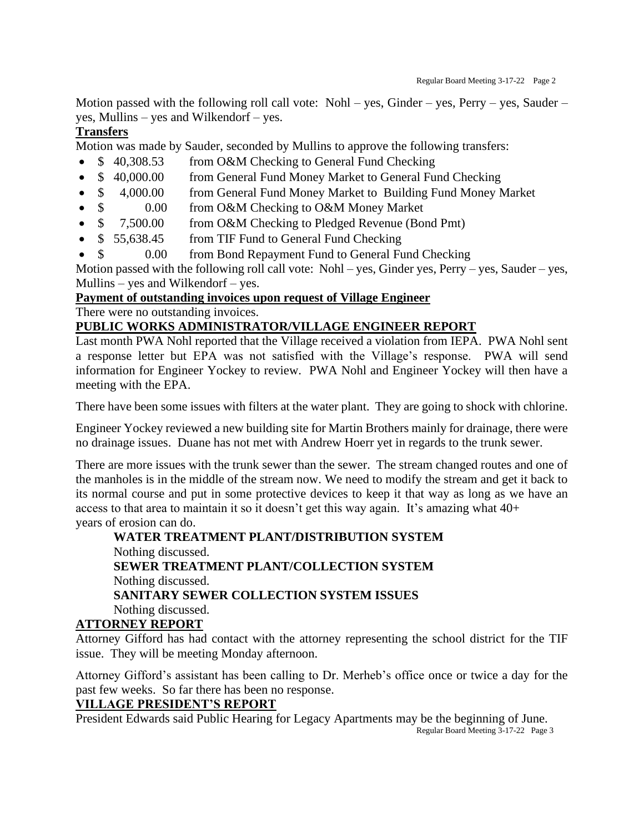Motion passed with the following roll call vote: Nohl – yes, Ginder – yes, Perry – yes, Sauder – yes, Mullins – yes and Wilkendorf – yes.

# **Transfers**

Motion was made by Sauder, seconded by Mullins to approve the following transfers:

- \$40,308.53 from O&M Checking to General Fund Checking
- \$ 40,000.00 from General Fund Money Market to General Fund Checking
- \$ 4,000.00 from General Fund Money Market to Building Fund Money Market
- \$ 0.00 from O&M Checking to O&M Money Market
- \$ 7,500.00 from O&M Checking to Pledged Revenue (Bond Pmt)
- \$55,638.45 from TIF Fund to General Fund Checking
- \$ 0.00 from Bond Repayment Fund to General Fund Checking

Motion passed with the following roll call vote: Nohl – yes, Ginder yes, Perry – yes, Sauder – yes, Mullins – yes and Wilkendorf – yes.

# **Payment of outstanding invoices upon request of Village Engineer**

There were no outstanding invoices.

# **PUBLIC WORKS ADMINISTRATOR/VILLAGE ENGINEER REPORT**

Last month PWA Nohl reported that the Village received a violation from IEPA. PWA Nohl sent a response letter but EPA was not satisfied with the Village's response. PWA will send information for Engineer Yockey to review. PWA Nohl and Engineer Yockey will then have a meeting with the EPA.

There have been some issues with filters at the water plant. They are going to shock with chlorine.

Engineer Yockey reviewed a new building site for Martin Brothers mainly for drainage, there were no drainage issues. Duane has not met with Andrew Hoerr yet in regards to the trunk sewer.

There are more issues with the trunk sewer than the sewer. The stream changed routes and one of the manholes is in the middle of the stream now. We need to modify the stream and get it back to its normal course and put in some protective devices to keep it that way as long as we have an access to that area to maintain it so it doesn't get this way again. It's amazing what 40+ years of erosion can do.

# **WATER TREATMENT PLANT/DISTRIBUTION SYSTEM** Nothing discussed. **SEWER TREATMENT PLANT/COLLECTION SYSTEM** Nothing discussed. **SANITARY SEWER COLLECTION SYSTEM ISSUES** Nothing discussed.

# **ATTORNEY REPORT**

Attorney Gifford has had contact with the attorney representing the school district for the TIF issue. They will be meeting Monday afternoon.

Attorney Gifford's assistant has been calling to Dr. Merheb's office once or twice a day for the past few weeks. So far there has been no response.

# **VILLAGE PRESIDENT'S REPORT**

President Edwards said Public Hearing for Legacy Apartments may be the beginning of June. Regular Board Meeting 3-17-22 Page 3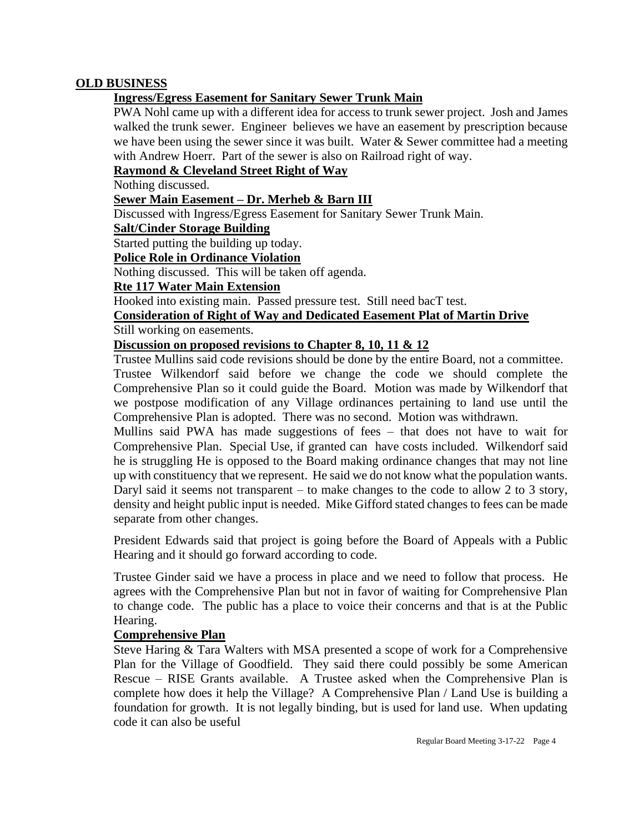# **OLD BUSINESS**

# **Ingress/Egress Easement for Sanitary Sewer Trunk Main**

PWA Nohl came up with a different idea for access to trunk sewer project. Josh and James walked the trunk sewer. Engineer believes we have an easement by prescription because we have been using the sewer since it was built. Water & Sewer committee had a meeting with Andrew Hoerr. Part of the sewer is also on Railroad right of way.

### **Raymond & Cleveland Street Right of Way**

Nothing discussed.

# **Sewer Main Easement – Dr. Merheb & Barn III**

Discussed with Ingress/Egress Easement for Sanitary Sewer Trunk Main.

#### **Salt/Cinder Storage Building**

Started putting the building up today.

# **Police Role in Ordinance Violation**

Nothing discussed. This will be taken off agenda.

# **Rte 117 Water Main Extension**

Hooked into existing main. Passed pressure test. Still need bacT test.

#### **Consideration of Right of Way and Dedicated Easement Plat of Martin Drive** Still working on easements.

# **Discussion on proposed revisions to Chapter 8, 10, 11 & 12**

Trustee Mullins said code revisions should be done by the entire Board, not a committee.

Trustee Wilkendorf said before we change the code we should complete the Comprehensive Plan so it could guide the Board. Motion was made by Wilkendorf that we postpose modification of any Village ordinances pertaining to land use until the Comprehensive Plan is adopted. There was no second. Motion was withdrawn.

Mullins said PWA has made suggestions of fees – that does not have to wait for Comprehensive Plan. Special Use, if granted can have costs included. Wilkendorf said he is struggling He is opposed to the Board making ordinance changes that may not line up with constituency that we represent. He said we do not know what the population wants. Daryl said it seems not transparent – to make changes to the code to allow 2 to 3 story, density and height public input is needed. Mike Gifford stated changes to fees can be made separate from other changes.

President Edwards said that project is going before the Board of Appeals with a Public Hearing and it should go forward according to code.

Trustee Ginder said we have a process in place and we need to follow that process. He agrees with the Comprehensive Plan but not in favor of waiting for Comprehensive Plan to change code. The public has a place to voice their concerns and that is at the Public Hearing.

#### **Comprehensive Plan**

Steve Haring & Tara Walters with MSA presented a scope of work for a Comprehensive Plan for the Village of Goodfield. They said there could possibly be some American Rescue – RISE Grants available. A Trustee asked when the Comprehensive Plan is complete how does it help the Village? A Comprehensive Plan / Land Use is building a foundation for growth. It is not legally binding, but is used for land use. When updating code it can also be useful